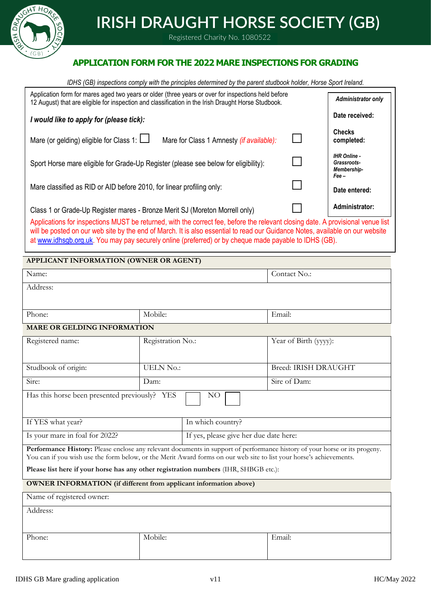

# **IRISH DRAUGHT HORSE SOCIETY (GB)**

Registered Charity No. 1080522

## **APPLICATION FORM FOR THE 2022 MARE INSPECTIONS FOR GRADING**

*IDHS (GB) inspections comply with the principles determined by the parent studbook holder, Horse Sport Ireland.*

| Application form for mares aged two years or older (three years or over for inspections held before<br>12 August) that are eligible for inspection and classification in the Irish Draught Horse Studbook.                                                       |  | <b>Administrator only</b>                         |  |  |  |
|------------------------------------------------------------------------------------------------------------------------------------------------------------------------------------------------------------------------------------------------------------------|--|---------------------------------------------------|--|--|--|
| I would like to apply for (please tick):                                                                                                                                                                                                                         |  | Date received:                                    |  |  |  |
| Mare (or gelding) eligible for Class 1: $\Box$<br>Mare for Class 1 Amnesty (if available):                                                                                                                                                                       |  | <b>Checks</b><br>completed:                       |  |  |  |
| Sport Horse mare eligible for Grade-Up Register (please see below for eligibility):                                                                                                                                                                              |  | <b>IHR Online -</b><br>Grassroots-<br>Membership- |  |  |  |
| Mare classified as RID or AID before 2010, for linear profiling only:                                                                                                                                                                                            |  | Fee –<br>Date entered:                            |  |  |  |
| Class 1 or Grade-Up Register mares - Bronze Merit SJ (Moreton Morrell only)                                                                                                                                                                                      |  | Administrator:                                    |  |  |  |
| Applications for inspections MUST be returned, with the correct fee, before the relevant closing date. A provisional venue list<br>will be nosted on our web site by the end of March. It is also essential to read our Guidance Notes, available on our website |  |                                                   |  |  |  |

will be posted on our web site by the end of March. It is also essential to read our Guidance Notes, available on our at [www.idhsgb.org.uk.](http://www.idhsgb.org.uk/) You may pay securely online (preferred) or by cheque made payable to IDHS (GB).

#### **APPLICANT INFORMATION (OWNER OR AGENT)**

| Name:                                                                                                                      |                   | Contact No.:                           |                             |  |  |
|----------------------------------------------------------------------------------------------------------------------------|-------------------|----------------------------------------|-----------------------------|--|--|
| Address:                                                                                                                   |                   |                                        |                             |  |  |
|                                                                                                                            |                   |                                        |                             |  |  |
| Phone:                                                                                                                     | Mobile:           |                                        | Email:                      |  |  |
| MARE OR GELDING INFORMATION                                                                                                |                   |                                        |                             |  |  |
| Registered name:                                                                                                           | Registration No.: |                                        | Year of Birth (yyyy):       |  |  |
|                                                                                                                            |                   |                                        |                             |  |  |
| Studbook of origin:                                                                                                        | <b>UELN No.:</b>  |                                        | <b>Breed: IRISH DRAUGHT</b> |  |  |
| Sire:                                                                                                                      | Dam:              |                                        | Sire of Dam:                |  |  |
| Has this horse been presented previously? YES                                                                              |                   | NO                                     |                             |  |  |
|                                                                                                                            |                   |                                        |                             |  |  |
| If YES what year?                                                                                                          |                   | In which country?                      |                             |  |  |
| Is your mare in foal for 2022?                                                                                             |                   | If yes, please give her due date here: |                             |  |  |
| Performance History: Please enclose any relevant documents in support of performance history of your horse or its progeny. |                   |                                        |                             |  |  |
| You can if you wish use the form below, or the Merit Award forms on our web site to list your horse's achievements.        |                   |                                        |                             |  |  |
| Please list here if your horse has any other registration numbers (IHR, SHBGB etc.):                                       |                   |                                        |                             |  |  |
| <b>OWNER INFORMATION</b> (if different from applicant information above)                                                   |                   |                                        |                             |  |  |
| Name of registered owner:                                                                                                  |                   |                                        |                             |  |  |
| Address:                                                                                                                   |                   |                                        |                             |  |  |
|                                                                                                                            |                   |                                        |                             |  |  |
| Phone:                                                                                                                     | Mobile:           |                                        | Email:                      |  |  |
|                                                                                                                            |                   |                                        |                             |  |  |
|                                                                                                                            |                   |                                        |                             |  |  |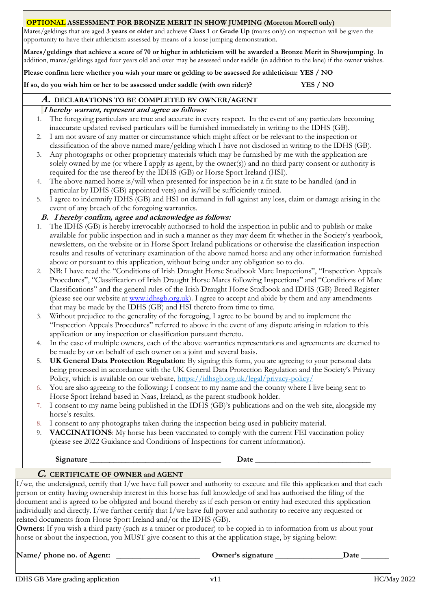#### **OPTIONAL ASSESSMENT FOR BRONZE MERIT IN SHOW JUMPING (Moreton Morrell only)**

Mares/geldings that are aged **3 years or older** and achieve **Class 1** or **Grade Up** (mares only) on inspection will be given the opportunity to have their athleticism assessed by means of a loose jumping demonstration.

**Mares/geldings that achieve a score of 70 or higher in athleticism will be awarded a Bronze Merit in Showjumping**. In addition, mares/geldings aged four years old and over may be assessed under saddle (in addition to the lane) if the owner wishes.

**Please confirm here whether you wish your mare or gelding to be assessed for athleticism: YES / NO** 

**If so, do you wish him or her to be assessed under saddle (with own rider)? YES / NO**

### **A. DECLARATIONS TO BE COMPLETED BY OWNER/AGENT**

#### **I hereby warrant, represent and agree as follows:**

- 1. The foregoing particulars are true and accurate in every respect. In the event of any particulars becoming inaccurate updated revised particulars will be furnished immediately in writing to the IDHS (GB).
- 2. I am not aware of any matter or circumstance which might affect or be relevant to the inspection or classification of the above named mare/gelding which I have not disclosed in writing to the IDHS (GB).
- 3. Any photographs or other proprietary materials which may be furnished by me with the application are solely owned by me (or where I apply as agent, by the owner(s)) and no third party consent or authority is required for the use thereof by the IDHS (GB) or Horse Sport Ireland (HSI).
- 4. The above named horse is/will when presented for inspection be in a fit state to be handled (and in particular by IDHS (GB) appointed vets) and is/will be sufficiently trained.
- 5. I agree to indemnify IDHS (GB) and HSI on demand in full against any loss, claim or damage arising in the event of any breach of the foregoing warranties.

## **B. I hereby confirm, agree and acknowledge as follows:**

- 1. The IDHS (GB) is hereby irrevocably authorised to hold the inspection in public and to publish or make available for public inspection and in such a manner as they may deem fit whether in the Society's yearbook, newsletters, on the website or in Horse Sport Ireland publications or otherwise the classification inspection results and results of veterinary examination of the above named horse and any other information furnished above or pursuant to this application, without being under any obligation so to do.
- 2. NB: I have read the "Conditions of Irish Draught Horse Studbook Mare Inspections", "Inspection Appeals Procedures", "Classification of Irish Draught Horse Mares following Inspections" and "Conditions of Mare Classifications" and the general rules of the Irish Draught Horse Studbook and IDHS (GB) Breed Register (please see our website a[t www.idhsgb.org.uk\)](http://www.idhsgb.org.uk/). I agree to accept and abide by them and any amendments that may be made by the IDHS (GB) and HSI thereto from time to time.
- 3. Without prejudice to the generality of the foregoing, I agree to be bound by and to implement the "Inspection Appeals Procedures" referred to above in the event of any dispute arising in relation to this application or any inspection or classification pursuant thereto.
- 4. In the case of multiple owners, each of the above warranties representations and agreements are deemed to be made by or on behalf of each owner on a joint and several basis.
- 5. **UK General Data Protection Regulation**: By signing this form, you are agreeing to your personal data being processed in accordance with the UK General Data Protection Regulation and the Society's Privacy Policy, which is available on our website,<https://idhsgb.org.uk/legal/privacy-policy/>
- 6. You are also agreeing to the following: I consent to my name and the county where I live being sent to Horse Sport Ireland based in Naas, Ireland, as the parent studbook holder.
- 7. I consent to my name being published in the IDHS (GB)'s publications and on the web site, alongside my horse's results.
- 8. I consent to any photographs taken during the inspection being used in publicity material.
- **VACCINATIONS:** My horse has been vaccinated to comply with the current FEI vaccination policy (please see 2022 Guidance and Conditions of Inspections for current information).

#### Signature **Date Date**

#### **C. CERTIFICATE OF OWNER and AGENT**

I/we, the undersigned, certify that I/we have full power and authority to execute and file this application and that each person or entity having ownership interest in this horse has full knowledge of and has authorised the filing of the document and is agreed to be obligated and bound thereby as if each person or entity had executed this application individually and directly. I/we further certify that I/we have full power and authority to receive any requested or related documents from Horse Sport Ireland and/or the IDHS (GB).

**Owners:** If you wish a third party (such as a trainer or producer) to be copied in to information from us about your horse or about the inspection, you MUST give consent to this at the application stage, by signing below:

|  | Name/ phone no. of Agent: |  |
|--|---------------------------|--|
|--|---------------------------|--|

**Owner's signature**  Date